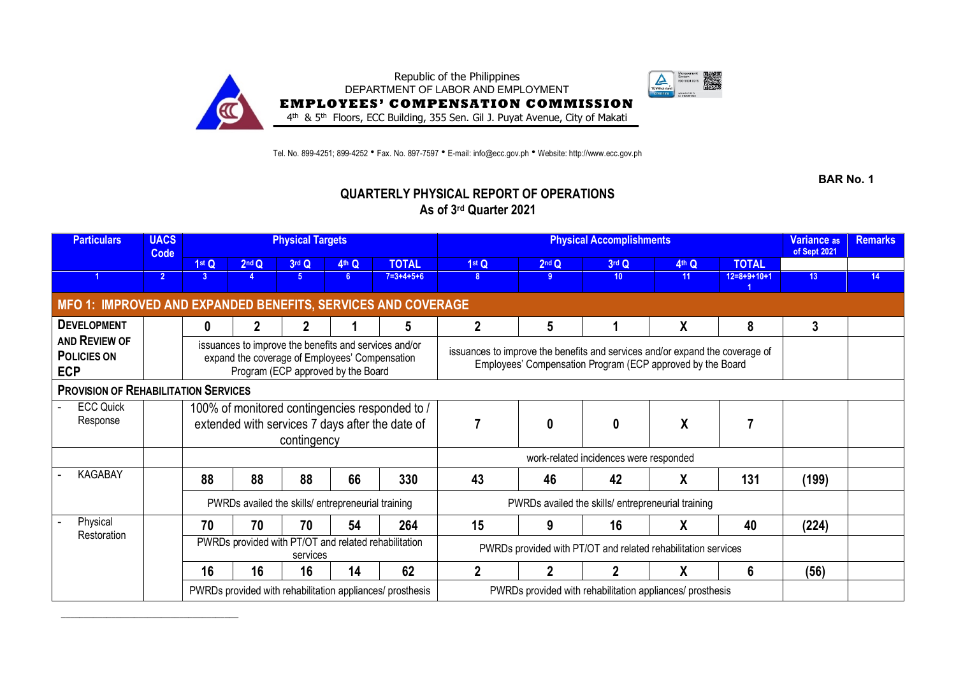

Tel. No. 899-4251; 899-4252 • Fax. No. 897-7597 • E-mail: info@ecc.gov.ph • Website: http://www.ecc.gov.ph

**BAR No. 1**

## **QUARTERLY PHYSICAL REPORT OF OPERATIONS As of 3rd Quarter 2021**

| <b>Particulars</b>                                                  | <b>UACS</b><br>Code |          |                   | <b>Physical Targets</b> |                                                                                                                                               |                                                           |                                                                                                                                            | Variance <sub>as</sub><br>of Sept 2021 | <b>Remarks</b>  |       |               |                 |    |
|---------------------------------------------------------------------|---------------------|----------|-------------------|-------------------------|-----------------------------------------------------------------------------------------------------------------------------------------------|-----------------------------------------------------------|--------------------------------------------------------------------------------------------------------------------------------------------|----------------------------------------|-----------------|-------|---------------|-----------------|----|
|                                                                     |                     | 1st Q    | 2 <sup>nd</sup> Q | 3rd Q                   | 4th Q                                                                                                                                         | <b>TOTAL</b>                                              | 1 <sup>st</sup> Q                                                                                                                          | 2 <sup>nd</sup> Q                      | 3rd Q           | 4th Q | <b>TOTAL</b>  |                 |    |
|                                                                     | $\overline{2}$      | 3        |                   | 5.                      | 6.                                                                                                                                            | $7 = 3 + 4 + 5 + 6$                                       | 8                                                                                                                                          | -9                                     | 10 <sup>°</sup> | 11    | $12=8+9+10+1$ | 13 <sup>°</sup> | 14 |
| <b>MFO 1: IMPROVED AND EXPANDED BENEFITS, SERVICES AND COVERAGE</b> |                     |          |                   |                         |                                                                                                                                               |                                                           |                                                                                                                                            |                                        |                 |       |               |                 |    |
| <b>DEVELOPMENT</b>                                                  |                     | $\bf{0}$ |                   |                         |                                                                                                                                               | 5                                                         | $\overline{2}$                                                                                                                             | 5                                      |                 | χ     | 8             | $\mathbf{3}$    |    |
| AND REVIEW OF<br><b>POLICIES ON</b><br><b>ECP</b>                   |                     |          |                   |                         | issuances to improve the benefits and services and/or<br>expand the coverage of Employees' Compensation<br>Program (ECP approved by the Board |                                                           | issuances to improve the benefits and services and/or expand the coverage of<br>Employees' Compensation Program (ECP approved by the Board |                                        |                 |       |               |                 |    |
| <b>PROVISION OF REHABILITATION SERVICES</b>                         |                     |          |                   |                         |                                                                                                                                               |                                                           |                                                                                                                                            |                                        |                 |       |               |                 |    |
| <b>ECC Quick</b><br>Response                                        |                     |          |                   |                         |                                                                                                                                               | 100% of monitored contingencies responded to /            |                                                                                                                                            |                                        |                 |       |               |                 |    |
|                                                                     |                     |          |                   |                         |                                                                                                                                               | extended with services 7 days after the date of           |                                                                                                                                            | $\boldsymbol{0}$                       | $\bf{0}$        | X     |               |                 |    |
|                                                                     |                     |          |                   | contingency             |                                                                                                                                               |                                                           |                                                                                                                                            |                                        |                 |       |               |                 |    |
|                                                                     |                     |          |                   |                         |                                                                                                                                               |                                                           |                                                                                                                                            |                                        |                 |       |               |                 |    |
| <b>KAGABAY</b>                                                      |                     | 88       | 88                | 88                      | 66                                                                                                                                            | 330                                                       | 43                                                                                                                                         | 46                                     | 42              | X     | 131           | (199)           |    |
|                                                                     |                     |          |                   |                         | PWRDs availed the skills/ entrepreneurial training                                                                                            |                                                           | PWRDs availed the skills/ entrepreneurial training                                                                                         |                                        |                 |       |               |                 |    |
| Physical<br>Restoration                                             |                     | 70       | 70                | 70                      | 54                                                                                                                                            | 264                                                       | 15                                                                                                                                         | 9                                      | 16              | χ     | 40            | (224)           |    |
|                                                                     |                     |          |                   | services                |                                                                                                                                               | PWRDs provided with PT/OT and related rehabilitation      | PWRDs provided with PT/OT and related rehabilitation services                                                                              |                                        |                 |       |               |                 |    |
|                                                                     |                     | 16       | 16                | 16                      | 14                                                                                                                                            | 62                                                        | 2                                                                                                                                          |                                        |                 | X     | 6             | (56)            |    |
|                                                                     |                     |          |                   |                         |                                                                                                                                               | PWRDs provided with rehabilitation appliances/ prosthesis | PWRDs provided with rehabilitation appliances/ prosthesis                                                                                  |                                        |                 |       |               |                 |    |

\_\_\_\_\_\_\_\_\_\_\_\_\_\_\_\_\_\_\_\_\_\_\_\_\_\_\_\_\_\_\_\_\_\_\_\_\_\_\_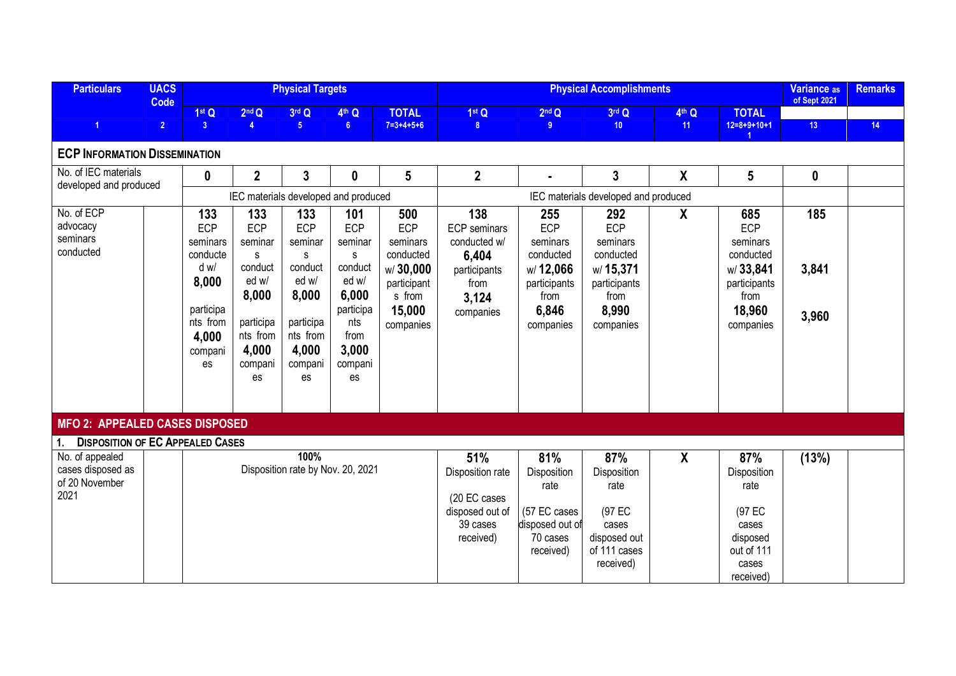| <b>Particulars</b>                                             | <b>UACS</b><br>Code |                                                                                                        |                                                                                                            | <b>Physical Targets</b>                                                                                           |                                                                                                                       |                                                                                                 |                                                                                                   | Variance as<br>of Sept 2021                                                                   | <b>Remarks</b>                                                                                |                                                                                               |                                                                                                        |                       |    |
|----------------------------------------------------------------|---------------------|--------------------------------------------------------------------------------------------------------|------------------------------------------------------------------------------------------------------------|-------------------------------------------------------------------------------------------------------------------|-----------------------------------------------------------------------------------------------------------------------|-------------------------------------------------------------------------------------------------|---------------------------------------------------------------------------------------------------|-----------------------------------------------------------------------------------------------|-----------------------------------------------------------------------------------------------|-----------------------------------------------------------------------------------------------|--------------------------------------------------------------------------------------------------------|-----------------------|----|
|                                                                |                     | 1st Q                                                                                                  | 2 <sup>nd</sup> Q                                                                                          | 3rd Q                                                                                                             | 4th Q                                                                                                                 | <b>TOTAL</b>                                                                                    | 1st Q                                                                                             | 2 <sup>nd</sup> Q                                                                             | 3rd Q                                                                                         | 4th Q                                                                                         | <b>TOTAL</b>                                                                                           |                       |    |
| $\blacktriangleleft$                                           | 2 <sup>7</sup>      | 3 <sup>2</sup>                                                                                         | $\overline{4}$                                                                                             | 5 <sup>1</sup>                                                                                                    | 6 <sup>1</sup>                                                                                                        | $7=3+4+5+6$                                                                                     | 8 <sup>1</sup>                                                                                    | 9 <sup>°</sup>                                                                                | 10 <sup>°</sup>                                                                               | 11                                                                                            | $12=8+9+10+1$                                                                                          | 13                    | 14 |
| <b>ECP INFORMATION DISSEMINATION</b>                           |                     |                                                                                                        |                                                                                                            |                                                                                                                   |                                                                                                                       |                                                                                                 |                                                                                                   |                                                                                               |                                                                                               |                                                                                               |                                                                                                        |                       |    |
| No. of IEC materials<br>developed and produced                 |                     | $\boldsymbol{0}$                                                                                       | $\overline{2}$                                                                                             | $\mathbf{3}$                                                                                                      | $\mathbf 0$                                                                                                           | $5\phantom{.0}$                                                                                 | $\overline{2}$                                                                                    | $\blacksquare$                                                                                | $\overline{3}$                                                                                | X                                                                                             | 5                                                                                                      | $\boldsymbol{0}$      |    |
|                                                                |                     |                                                                                                        |                                                                                                            | IEC materials developed and produced                                                                              |                                                                                                                       |                                                                                                 |                                                                                                   |                                                                                               | IEC materials developed and produced                                                          |                                                                                               |                                                                                                        |                       |    |
| No. of ECP<br>advocacy<br>seminars<br>conducted                |                     | 133<br>ECP<br>seminars<br>conducte<br>d w/<br>8,000<br>participa<br>nts from<br>4,000<br>compani<br>es | 133<br>ECP<br>seminar<br>s<br>conduct<br>ed w/<br>8,000<br>participa<br>nts from<br>4,000<br>compani<br>es | 133<br><b>ECP</b><br>seminar<br>S<br>conduct<br>ed w/<br>8,000<br>participa<br>nts from<br>4,000<br>compani<br>es | 101<br><b>ECP</b><br>seminar<br>S.<br>conduct<br>ed w/<br>6,000<br>participa<br>nts<br>from<br>3,000<br>compani<br>es | 500<br>ECP<br>seminars<br>conducted<br>w/30,000<br>participant<br>s from<br>15,000<br>companies | 138<br><b>ECP</b> seminars<br>conducted w/<br>6,404<br>participants<br>from<br>3,124<br>companies | 255<br>ECP<br>seminars<br>conducted<br>w/12,066<br>participants<br>from<br>6,846<br>companies | 292<br>ECP<br>seminars<br>conducted<br>w/15,371<br>participants<br>from<br>8,990<br>companies | X                                                                                             | 685<br><b>ECP</b><br>seminars<br>conducted<br>w/ 33,841<br>participants<br>from<br>18,960<br>companies | 185<br>3,841<br>3,960 |    |
| MFO 2: APPEALED CASES DISPOSED                                 |                     |                                                                                                        |                                                                                                            |                                                                                                                   |                                                                                                                       |                                                                                                 |                                                                                                   |                                                                                               |                                                                                               |                                                                                               |                                                                                                        |                       |    |
| <b>DISPOSITION OF EC APPEALED CASES</b><br>1.                  |                     |                                                                                                        |                                                                                                            |                                                                                                                   |                                                                                                                       |                                                                                                 |                                                                                                   |                                                                                               |                                                                                               |                                                                                               |                                                                                                        |                       |    |
| No. of appealed<br>cases disposed as<br>of 20 November<br>2021 |                     | 100%<br>Disposition rate by Nov. 20, 2021                                                              |                                                                                                            |                                                                                                                   |                                                                                                                       | 51%<br>Disposition rate<br>(20 EC cases<br>disposed out of<br>39 cases<br>received)             | 81%<br>Disposition<br>rate<br>(57 EC cases<br>disposed out of<br>70 cases<br>received)            | 87%<br>Disposition<br>rate<br>(97 EC<br>cases<br>disposed out<br>of 111 cases<br>received)    | $\boldsymbol{X}$                                                                              | 87%<br>Disposition<br>rate<br>(97 EC<br>cases<br>disposed<br>out of 111<br>cases<br>received) | (13%)                                                                                                  |                       |    |